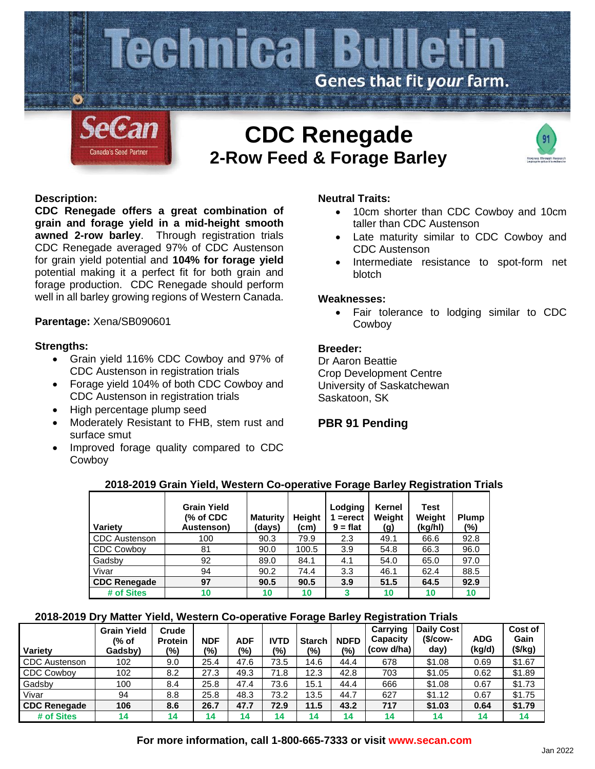

# **CDC Renegade 2-Row Feed & Forage Barley**



## **Description:**

**CDC Renegade offers a great combination of grain and forage yield in a mid-height smooth awned 2-row barley**. Through registration trials CDC Renegade averaged 97% of CDC Austenson for grain yield potential and **104% for forage yield** potential making it a perfect fit for both grain and forage production. CDC Renegade should perform well in all barley growing regions of Western Canada.

# **Parentage:** Xena/SB090601

## **Strengths:**

- Grain yield 116% CDC Cowboy and 97% of CDC Austenson in registration trials
- Forage yield 104% of both CDC Cowboy and CDC Austenson in registration trials
- High percentage plump seed
- Moderately Resistant to FHB, stem rust and surface smut
- Improved forage quality compared to CDC Cowboy

## **Neutral Traits:**

- 10cm shorter than CDC Cowboy and 10cm taller than CDC Austenson
- Late maturity similar to CDC Cowboy and CDC Austenson
- Intermediate resistance to spot-form net blotch

#### **Weaknesses:**

• Fair tolerance to lodging similar to CDC Cowboy

# **Breeder:**

Dr Aaron Beattie Crop Development Centre University of Saskatchewan Saskatoon, SK

# **PBR 91 Pending**

| Variety              | <b>Grain Yield</b><br>(% of CDC<br>Austenson) | <b>Maturity</b><br>(days) | <b>Height</b><br>(cm) | Lodging<br>$=$ erect<br>$9 = flat$ | Kernel<br>Weight<br>(g) | Test<br>Weight<br>(kg/hl) | <b>Plump</b><br>$(\%)$ |
|----------------------|-----------------------------------------------|---------------------------|-----------------------|------------------------------------|-------------------------|---------------------------|------------------------|
| <b>CDC</b> Austenson | 100                                           | 90.3                      | 79.9                  | 2.3                                | 49.1                    | 66.6                      | 92.8                   |
| <b>CDC Cowboy</b>    | 81                                            | 90.0                      | 100.5                 | 3.9                                | 54.8                    | 66.3                      | 96.0                   |
| Gadsby               | 92                                            | 89.0                      | 84.1                  | 4.1                                | 54.0                    | 65.0                      | 97.0                   |
| Vivar                | 94                                            | 90.2                      | 74.4                  | 3.3                                | 46.1                    | 62.4                      | 88.5                   |
| <b>CDC Renegade</b>  | 97                                            | 90.5                      | 90.5                  | 3.9                                | 51.5                    | 64.5                      | 92.9                   |
| # of Sites           | 10                                            | 10                        | 10                    | 3                                  | 10                      | 10                        | 10                     |

## **2018-2019 Grain Yield, Western Co-operative Forage Barley Registration Trials**

# **2018-2019 Dry Matter Yield, Western Co-operative Forage Barley Registration Trials**

| <b>Variety</b>       | <b>Grain Yield</b><br>(% of<br>Gadsby) | Crude<br><b>Protein</b><br>(%) | <b>NDF</b><br>(%) | ADF<br>(%) | <b>IVTD</b><br>(9/0) | <b>Starch</b><br>(%) | <b>NDFD</b><br>(%) | Carrying<br>Capacity<br>(cow d/ha) | <b>Daily Cost</b><br>$$/cow-$<br>day) | <b>ADG</b><br>(kg/d) | <b>Cost of</b><br>Gain<br>(\$/kg) |
|----------------------|----------------------------------------|--------------------------------|-------------------|------------|----------------------|----------------------|--------------------|------------------------------------|---------------------------------------|----------------------|-----------------------------------|
| <b>CDC</b> Austenson | 102                                    | 9.0                            | 25.4              | 47.6       | 73.5                 | 14.6                 | 44.4               | 678                                | \$1.08                                | 0.69                 | \$1.67                            |
| <b>CDC Cowboy</b>    | 102                                    | 8.2                            | 27.3              | 49.3       | 71.8                 | 12.3                 | 42.8               | 703                                | \$1.05                                | 0.62                 | \$1.89                            |
| Gadsby               | 100                                    | 8.4                            | 25.8              | 47.4       | 73.6                 | 15.1                 | 44.4               | 666                                | \$1.08                                | 0.67                 | \$1.73                            |
| Vivar                | 94                                     | 8.8                            | 25.8              | 48.3       | 73.2                 | 13.5                 | 44.7               | 627                                | \$1.12                                | 0.67                 | \$1.75                            |
| <b>CDC Renegade</b>  | 106                                    | 8.6                            | 26.7              | 47.7       | 72.9                 | 11.5                 | 43.2               | 717                                | \$1.03                                | 0.64                 | \$1.79                            |
| # of Sites           | 14                                     | 14                             | 14                | 14         | 14                   | 14                   | 14                 | 14                                 | 14                                    | 14                   | 14                                |